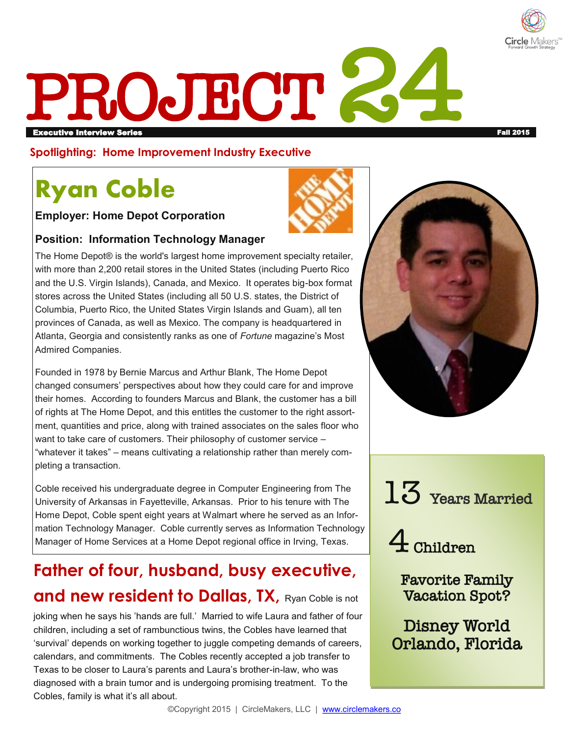

# PROJECT 2 Executive Interview Series Fall 2015

**Spotlighting: Home Improvement Industry Executive**

# **Ryan Coble**

**Employer: Home Depot Corporation** 



#### **Position: Information Technology Manager**

The Home Depot® is the world's largest home improvement specialty retailer, with more than 2,200 retail stores in the United States (including Puerto Rico and the U.S. Virgin Islands), Canada, and Mexico. It operates big-box format stores across the United States (including all 50 U.S. states, the District of Columbia, Puerto Rico, the United States Virgin Islands and Guam), all ten provinces of Canada, as well as Mexico. The company is headquartered in Atlanta, Georgia and consistently ranks as one of *Fortune* magazine's Most Admired Companies.

Founded in 1978 by Bernie Marcus and Arthur Blank, The Home Depot changed consumers' perspectives about how they could care for and improve their homes. According to founders Marcus and Blank, the customer has a bill of rights at The Home Depot, and this entitles the customer to the right assortment, quantities and price, along with trained associates on the sales floor who want to take care of customers. Their philosophy of customer service – "whatever it takes" – means cultivating a relationship rather than merely completing a transaction.

Coble received his undergraduate degree in Computer Engineering from The University of Arkansas in Fayetteville, Arkansas. Prior to his tenure with The Home Depot, Coble spent eight years at Walmart where he served as an Information Technology Manager. Coble currently serves as Information Technology Manager of Home Services at a Home Depot regional office in Irving, Texas.

## **Father of four, husband, busy executive, and new resident to Dallas, TX, Ryan Coble is not**

joking when he says his 'hands are full.' Married to wife Laura and father of four children, including a set of rambunctious twins, the Cobles have learned that 'survival' depends on working together to juggle competing demands of careers, calendars, and commitments. The Cobles recently accepted a job transfer to Texas to be closer to Laura's parents and Laura's brother-in-law, who was diagnosed with a brain tumor and is undergoing promising treatment. To the Cobles, family is what it's all about.



 $13\,$  Years Married

4 Children

Favorite Family Vacation Spot?

Disney World Orlando, Florida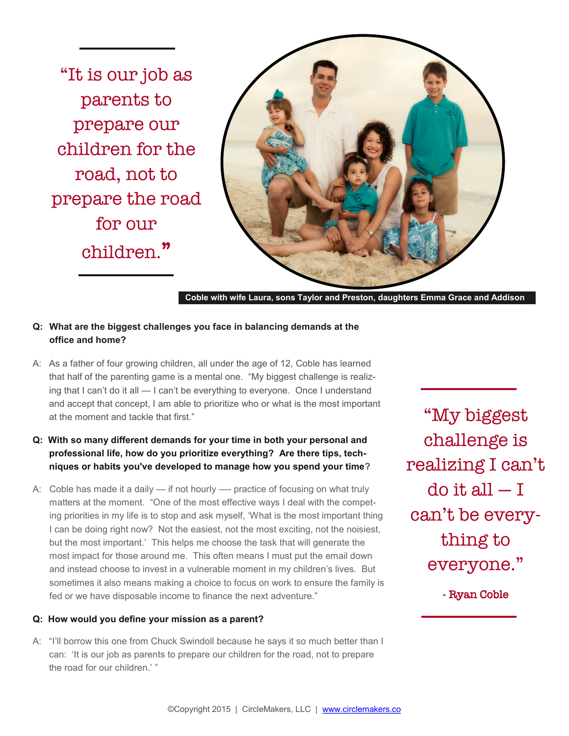"It is our job as parents to prepare our children for the road, not to prepare the road for our children."



**Coble with wife Laura, sons Taylor and Preston, daughters Emma Grace and Addison**

#### **Q: What are the biggest challenges you face in balancing demands at the office and home?**

A: As a father of four growing children, all under the age of 12, Coble has learned that half of the parenting game is a mental one. "My biggest challenge is realizing that I can't do it all — I can't be everything to everyone. Once I understand and accept that concept, I am able to prioritize who or what is the most important at the moment and tackle that first."

#### **Q: With so many different demands for your time in both your personal and professional life, how do you prioritize everything? Are there tips, techniques or habits you've developed to manage how you spend your time?**

A: Coble has made it a daily — if not hourly —- practice of focusing on what truly matters at the moment. "One of the most effective ways I deal with the competing priorities in my life is to stop and ask myself, 'What is the most important thing I can be doing right now? Not the easiest, not the most exciting, not the noisiest, but the most important.' This helps me choose the task that will generate the most impact for those around me. This often means I must put the email down and instead choose to invest in a vulnerable moment in my children's lives. But sometimes it also means making a choice to focus on work to ensure the family is fed or we have disposable income to finance the next adventure."

#### **Q: How would you define your mission as a parent?**

A: "I'll borrow this one from Chuck Swindoll because he says it so much better than I can: 'It is our job as parents to prepare our children for the road, not to prepare the road for our children.' "

"My biggest challenge is realizing I can't do it all  $-1$ can't be everything to everyone."

- Ryan Coble